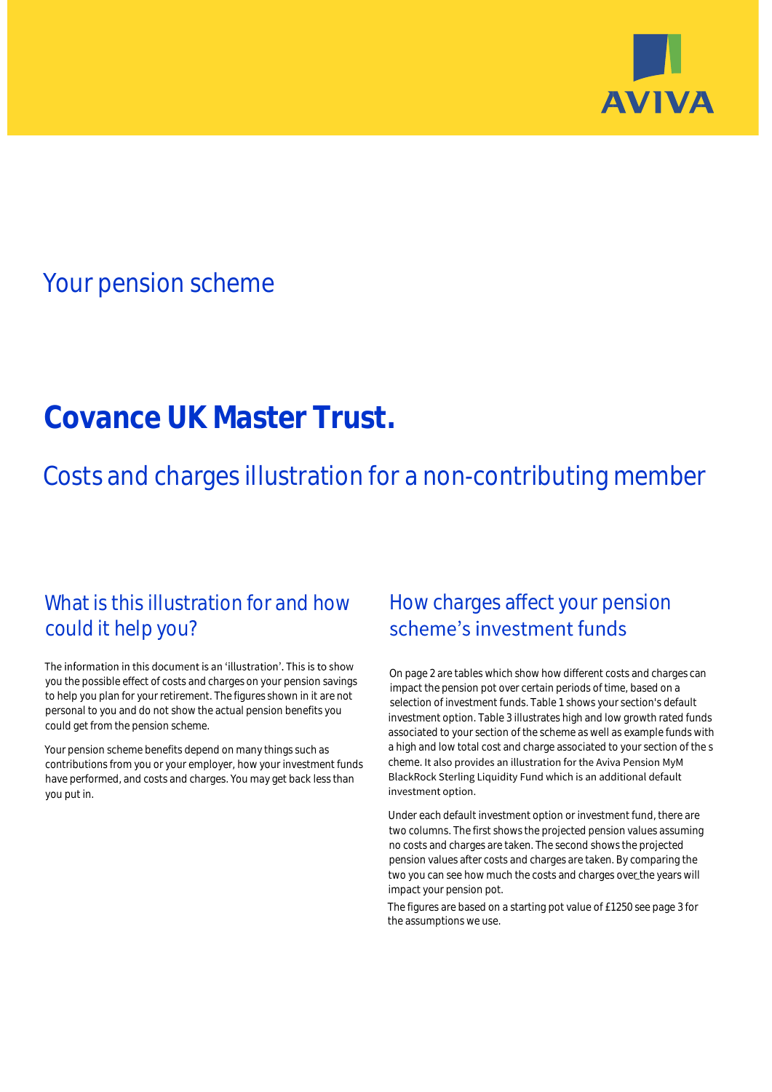

# Your pension scheme

# **Covance UK Master Trust.**

Costs and charges illustration for a non-contributing member

# What is this illustration for and how could it help you?

### The information in this document is an 'illustration'. This is to show you the possible effect of costs and charges on your pension savings to help you plan for your retirement. The figures shown in it are not personal to you and do not show the actual pension benefits you could get from the pension scheme.

Your pension scheme benefits depend on many things such as contributions from you or your employer, how your investment funds have performed, and costs and charges. You may get back less than you put in.

# How charges affect your pension scheme's investment funds

On page 2 are tables which show how different costs and charges can impact the pension pot over certain periods of time, based on a selection of investment funds. Table 1 shows your section's default investment option. Table 3 illustrates high and low growth rated funds associated to your section of the scheme as well as example funds with a high and low total cost and charge associated to your section of the s cheme. It also provides an illustration for the Aviva Pension MyM BlackRock Sterling Liquidity Fund which is an additional default investment option.

Under each default investment option or investment fund, there are two columns. The first shows the projected pension values assuming no costs and charges are taken. The second shows the projected pension values after costs and charges are taken. By comparing the two you can see how much the costs and charges over the years will impact your pension pot.

The figures are based on a starting pot value of £1250 see page 3 for the assumptions we use.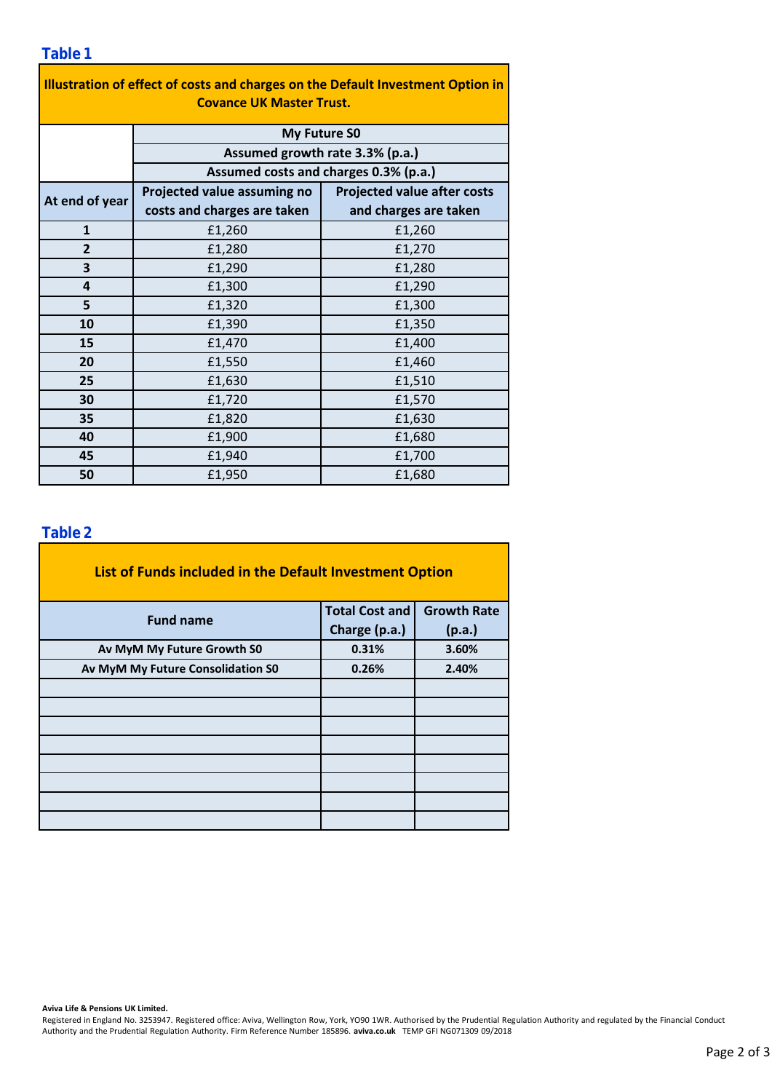### **Table 1**

| Illustration of effect of costs and charges on the Default Investment Option in<br><b>Covance UK Master Trust.</b> |                                                                                                 |                                    |  |  |  |  |  |  |
|--------------------------------------------------------------------------------------------------------------------|-------------------------------------------------------------------------------------------------|------------------------------------|--|--|--|--|--|--|
|                                                                                                                    | <b>My Future SO</b><br>Assumed growth rate 3.3% (p.a.)<br>Assumed costs and charges 0.3% (p.a.) |                                    |  |  |  |  |  |  |
|                                                                                                                    |                                                                                                 |                                    |  |  |  |  |  |  |
|                                                                                                                    |                                                                                                 |                                    |  |  |  |  |  |  |
| At end of year                                                                                                     | Projected value assuming no                                                                     | <b>Projected value after costs</b> |  |  |  |  |  |  |
|                                                                                                                    | costs and charges are taken                                                                     | and charges are taken              |  |  |  |  |  |  |
| $\mathbf{1}$                                                                                                       | £1,260                                                                                          | £1,260                             |  |  |  |  |  |  |
| $\overline{2}$                                                                                                     | £1,280                                                                                          | £1,270                             |  |  |  |  |  |  |
| 3                                                                                                                  | £1,290                                                                                          | £1,280                             |  |  |  |  |  |  |
| 4                                                                                                                  | £1,300                                                                                          | £1,290                             |  |  |  |  |  |  |
| 5                                                                                                                  | £1,320                                                                                          | £1,300                             |  |  |  |  |  |  |
| 10                                                                                                                 | £1,390                                                                                          | £1,350                             |  |  |  |  |  |  |
| 15                                                                                                                 | £1,470                                                                                          | £1,400                             |  |  |  |  |  |  |
| 20                                                                                                                 | £1,550                                                                                          | £1,460                             |  |  |  |  |  |  |
| 25                                                                                                                 | £1,630                                                                                          | £1,510                             |  |  |  |  |  |  |
| 30                                                                                                                 | £1,720                                                                                          | £1,570                             |  |  |  |  |  |  |
| 35                                                                                                                 | £1,820                                                                                          | £1,630                             |  |  |  |  |  |  |
| 40                                                                                                                 | £1,900                                                                                          | £1,680                             |  |  |  |  |  |  |
| 45                                                                                                                 | £1,940                                                                                          | £1,700                             |  |  |  |  |  |  |
| 50                                                                                                                 | £1,950                                                                                          | £1,680                             |  |  |  |  |  |  |

### **Table 2**

| List of Funds included in the Default Investment Option |                       |                    |  |  |  |  |  |  |
|---------------------------------------------------------|-----------------------|--------------------|--|--|--|--|--|--|
| <b>Fund name</b>                                        | <b>Total Cost and</b> | <b>Growth Rate</b> |  |  |  |  |  |  |
|                                                         | Charge (p.a.)         | (p.a.)             |  |  |  |  |  |  |
| Av MyM My Future Growth S0                              | 0.31%                 | 3.60%              |  |  |  |  |  |  |
| Av MyM My Future Consolidation S0                       | 0.26%                 | 2.40%              |  |  |  |  |  |  |
|                                                         |                       |                    |  |  |  |  |  |  |
|                                                         |                       |                    |  |  |  |  |  |  |
|                                                         |                       |                    |  |  |  |  |  |  |
|                                                         |                       |                    |  |  |  |  |  |  |
|                                                         |                       |                    |  |  |  |  |  |  |
|                                                         |                       |                    |  |  |  |  |  |  |
|                                                         |                       |                    |  |  |  |  |  |  |
|                                                         |                       |                    |  |  |  |  |  |  |

#### **Aviva Life & Pensions UK Limited.**

Registered in England No. 3253947. Registered office: Aviva, Wellington Row, York, YO90 1WR. Authorised by the Prudential Regulation Authority and regulated by the Financial Conduct Authority and the Prudential Regulation Authority. Firm Reference Number 185896. **aviva.co.uk** TEMP GFI NG071309 09/2018